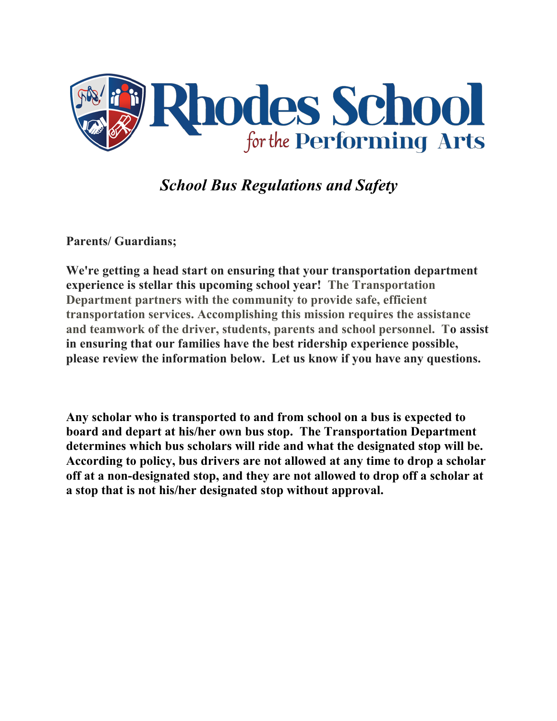

*School Bus Regulations and Safety*

**Parents/ Guardians;** 

**We're getting a head start on ensuring that your transportation department experience is stellar this upcoming school year! The Transportation Department partners with the community to provide safe, efficient transportation services. Accomplishing this mission requires the assistance and teamwork of the driver, students, parents and school personnel. To assist in ensuring that our families have the best ridership experience possible, please review the information below. Let us know if you have any questions.**

**Any scholar who is transported to and from school on a bus is expected to board and depart at his/her own bus stop. The Transportation Department determines which bus scholars will ride and what the designated stop will be. According to policy, bus drivers are not allowed at any time to drop a scholar off at a non-designated stop, and they are not allowed to drop off a scholar at a stop that is not his/her designated stop without approval.**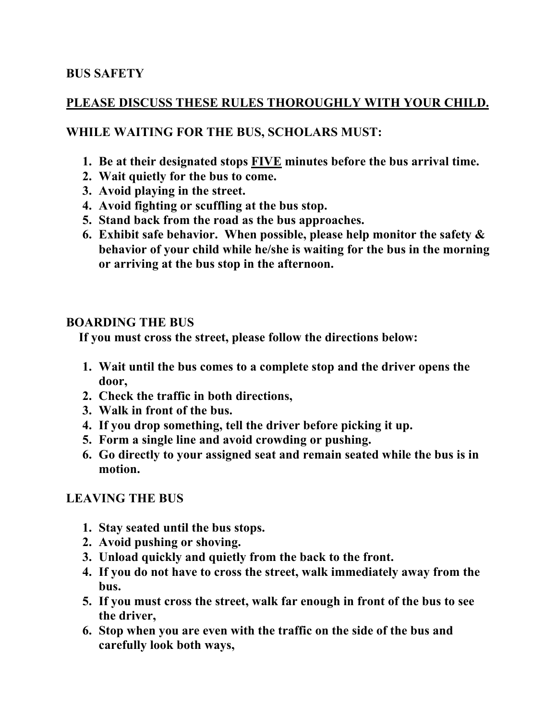## **BUS SAFETY**

### **PLEASE DISCUSS THESE RULES THOROUGHLY WITH YOUR CHILD.**

## **WHILE WAITING FOR THE BUS, SCHOLARS MUST:**

- **1. Be at their designated stops FIVE minutes before the bus arrival time.**
- **2. Wait quietly for the bus to come.**
- **3. Avoid playing in the street.**
- **4. Avoid fighting or scuffling at the bus stop.**
- **5. Stand back from the road as the bus approaches.**
- **6. Exhibit safe behavior. When possible, please help monitor the safety & behavior of your child while he/she is waiting for the bus in the morning or arriving at the bus stop in the afternoon.**

### **BOARDING THE BUS**

 **If you must cross the street, please follow the directions below:**

- **1. Wait until the bus comes to a complete stop and the driver opens the door,**
- **2. Check the traffic in both directions,**
- **3. Walk in front of the bus.**
- **4. If you drop something, tell the driver before picking it up.**
- **5. Form a single line and avoid crowding or pushing.**
- **6. Go directly to your assigned seat and remain seated while the bus is in motion.**

### **LEAVING THE BUS**

- **1. Stay seated until the bus stops.**
- **2. Avoid pushing or shoving.**
- **3. Unload quickly and quietly from the back to the front.**
- **4. If you do not have to cross the street, walk immediately away from the bus.**
- **5. If you must cross the street, walk far enough in front of the bus to see the driver,**
- **6. Stop when you are even with the traffic on the side of the bus and carefully look both ways,**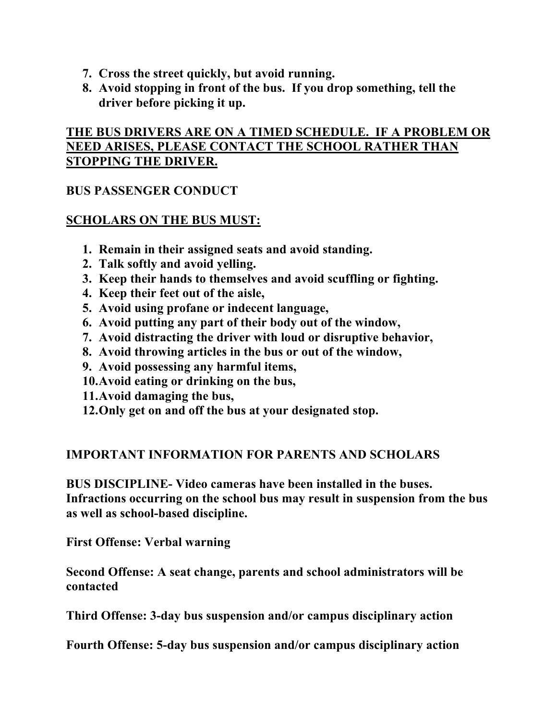- **7. Cross the street quickly, but avoid running.**
- **8. Avoid stopping in front of the bus. If you drop something, tell the driver before picking it up.**

# **THE BUS DRIVERS ARE ON A TIMED SCHEDULE. IF A PROBLEM OR NEED ARISES, PLEASE CONTACT THE SCHOOL RATHER THAN STOPPING THE DRIVER.**

## **BUS PASSENGER CONDUCT**

## **SCHOLARS ON THE BUS MUST:**

- **1. Remain in their assigned seats and avoid standing.**
- **2. Talk softly and avoid yelling.**
- **3. Keep their hands to themselves and avoid scuffling or fighting.**
- **4. Keep their feet out of the aisle,**
- **5. Avoid using profane or indecent language,**
- **6. Avoid putting any part of their body out of the window,**
- **7. Avoid distracting the driver with loud or disruptive behavior,**
- **8. Avoid throwing articles in the bus or out of the window,**
- **9. Avoid possessing any harmful items,**
- **10.Avoid eating or drinking on the bus,**
- **11.Avoid damaging the bus,**
- **12.Only get on and off the bus at your designated stop.**

## **IMPORTANT INFORMATION FOR PARENTS AND SCHOLARS**

**BUS DISCIPLINE- Video cameras have been installed in the buses. Infractions occurring on the school bus may result in suspension from the bus as well as school-based discipline.**

**First Offense: Verbal warning**

**Second Offense: A seat change, parents and school administrators will be contacted**

**Third Offense: 3-day bus suspension and/or campus disciplinary action**

**Fourth Offense: 5-day bus suspension and/or campus disciplinary action**